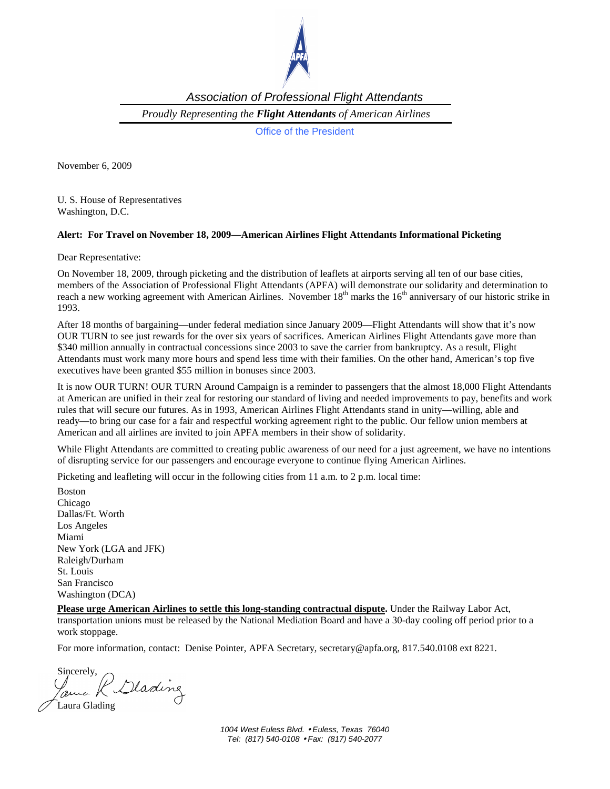

Association of Professional Flight Attendants

*Proudly Representing the Flight Attendants of American Airlines* 

Office of the President

November 6, 2009

U. S. House of Representatives Washington, D.C.

## **Alert: For Travel on November 18, 2009—American Airlines Flight Attendants Informational Picketing**

Dear Representative:

On November 18, 2009, through picketing and the distribution of leaflets at airports serving all ten of our base cities, members of the Association of Professional Flight Attendants (APFA) will demonstrate our solidarity and determination to reach a new working agreement with American Airlines. November  $18<sup>th</sup>$  marks the  $16<sup>th</sup>$  anniversary of our historic strike in 1993.

After 18 months of bargaining—under federal mediation since January 2009—Flight Attendants will show that it's now OUR TURN to see just rewards for the over six years of sacrifices. American Airlines Flight Attendants gave more than \$340 million annually in contractual concessions since 2003 to save the carrier from bankruptcy. As a result, Flight Attendants must work many more hours and spend less time with their families. On the other hand, American's top five executives have been granted \$55 million in bonuses since 2003.

It is now OUR TURN! OUR TURN Around Campaign is a reminder to passengers that the almost 18,000 Flight Attendants at American are unified in their zeal for restoring our standard of living and needed improvements to pay, benefits and work rules that will secure our futures. As in 1993, American Airlines Flight Attendants stand in unity—willing, able and ready—to bring our case for a fair and respectful working agreement right to the public. Our fellow union members at American and all airlines are invited to join APFA members in their show of solidarity.

While Flight Attendants are committed to creating public awareness of our need for a just agreement, we have no intentions of disrupting service for our passengers and encourage everyone to continue flying American Airlines.

Picketing and leafleting will occur in the following cities from 11 a.m. to 2 p.m. local time:

Boston Chicago Dallas/Ft. Worth Los Angeles Miami New York (LGA and JFK) Raleigh/Durham St. Louis San Francisco Washington (DCA)

**Please urge American Airlines to settle this long-standing contractual dispute.** Under the Railway Labor Act, transportation unions must be released by the National Mediation Board and have a 30-day cooling off period prior to a work stoppage.

For more information, contact: Denise Pointer, APFA Secretary, secretary@apfa.org, 817.540.0108 ext 8221.

Sincerely, Clading Laura Glading

1004 West Euless Blvd. • Euless, Texas 76040 Tel: (817) 540-0108 • Fax: (817) 540-2077